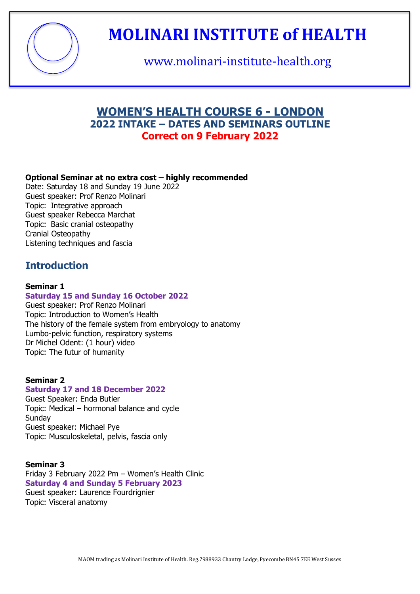

www.molinari-institute-health.org

### **WOMEN'S HEALTH COURSE 6 - LONDON 2022 INTAKE – DATES AND SEMINARS OUTLINE Correct on 9 February 2022**

#### **Optional Seminar at no extra cost – highly recommended**

Date: Saturday 18 and Sunday 19 June 2022 Guest speaker: Prof Renzo Molinari Topic: Integrative approach Guest speaker Rebecca Marchat Topic: Basic cranial osteopathy Cranial Osteopathy Listening techniques and fascia

### **Introduction**

#### **Seminar 1**

#### **Saturday 15 and Sunday 16 October 2022**

Guest speaker: Prof Renzo Molinari Topic: Introduction to Women's Health The history of the female system from embryology to anatomy Lumbo-pelvic function, respiratory systems Dr Michel Odent: (1 hour) video Topic: The futur of humanity

#### **Seminar 2**

#### **Saturday 17 and 18 December 2022**

Guest Speaker: Enda Butler Topic: Medical – hormonal balance and cycle **Sundav** Guest speaker: Michael Pye Topic: Musculoskeletal, pelvis, fascia only

#### **Seminar 3**

Friday 3 February 2022 Pm – Women's Health Clinic **Saturday 4 and Sunday 5 February 2023** Guest speaker: Laurence Fourdrignier Topic: Visceral anatomy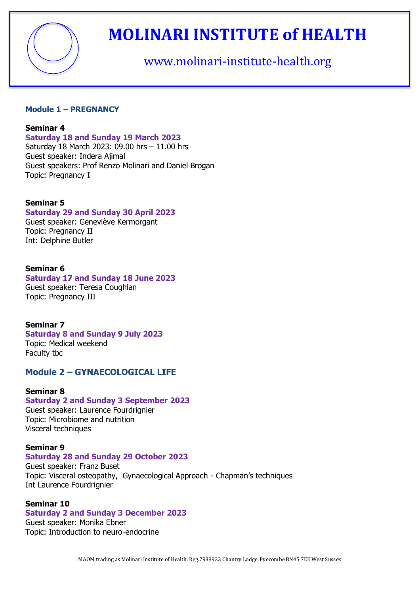

### www.molinari-institute-health.org

#### **Module 1** – **PREGNANCY**

#### **Seminar 4**

#### **Saturday 18 and Sunday 19 March 2023**

Saturday 18 March 2023: 09.00 hrs – 11.00 hrs Guest speaker: Indera Ajimal Guest speakers: Prof Renzo Molinari and Daniel Brogan Topic: Pregnancy I

#### **Seminar 5**

#### **Saturday 29 and Sunday 30 April 2023**

Guest speaker: Geneviève Kermorgant Topic: Pregnancy II Int: Delphine Butler

#### **Seminar 6**

#### **Saturday 17 and Sunday 18 June 2023**

Guest speaker: Teresa Coughlan Topic: Pregnancy III

#### **Seminar 7**

#### **Saturday 8 and Sunday 9 July 2023** Topic: Medical weekend Faculty tbc

#### **Module 2 – GYNAECOLOGICAL LIFE**

#### **Seminar 8**

#### **Saturday 2 and Sunday 3 September 2023**

Guest speaker: Laurence Fourdrignier Topic: Microbiome and nutrition Visceral techniques

#### **Seminar 9**

#### **Saturday 28 and Sunday 29 October 2023**

Guest speaker: Franz Buset Topic: Visceral osteopathy, Gynaecological Approach - Chapman's techniques Int Laurence Fourdrignier

#### **Seminar 10**

#### **Saturday 2 and Sunday 3 December 2023**

Guest speaker: Monika Ebner Topic: Introduction to neuro-endocrine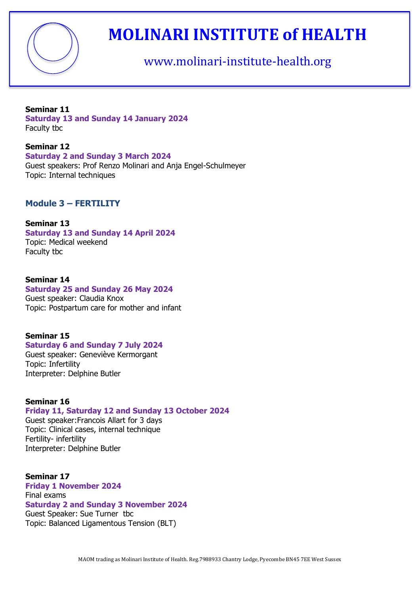

www.molinari-institute-health.org

#### **Seminar 11**

**Saturday 13 and Sunday 14 January 2024** Faculty tbc

#### **Seminar 12**

**Saturday 2 and Sunday 3 March 2024** 

Guest speakers: Prof Renzo Molinari and Anja Engel-Schulmeyer Topic: Internal techniques

#### **Module 3 – FERTILITY**

#### **Seminar 13**

**Saturday 13 and Sunday 14 April 2024** Topic: Medical weekend Faculty tbc

#### **Seminar 14**

#### **Saturday 25 and Sunday 26 May 2024**

Guest speaker: Claudia Knox Topic: Postpartum care for mother and infant

#### **Seminar 15**

#### **Saturday 6 and Sunday 7 July 2024**

Guest speaker: Geneviève Kermorgant Topic: Infertility Interpreter: Delphine Butler

#### **Seminar 16**

#### **Friday 11, Saturday 12 and Sunday 13 October 2024**

Guest speaker:Francois Allart for 3 days Topic: Clinical cases, internal technique Fertility- infertility Interpreter: Delphine Butler

#### **Seminar 17 Friday 1 November 2024**  Final exams **Saturday 2 and Sunday 3 November 2024** Guest Speaker: Sue Turner tbc Topic: Balanced Ligamentous Tension (BLT)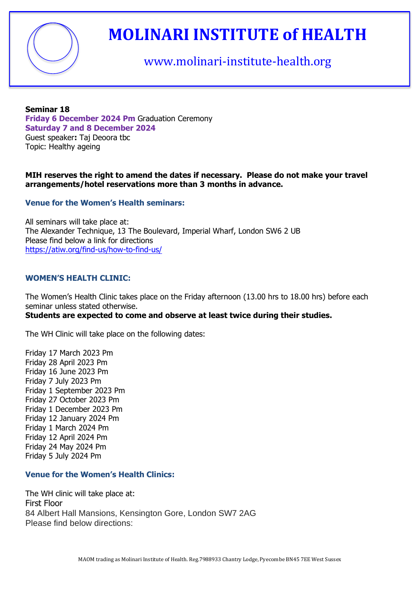

### www.molinari-institute-health.org

#### **Seminar 18 Friday 6 December 2024 Pm** Graduation Ceremony **Saturday 7 and 8 December 2024** Guest speaker**:** Taj Deoora tbc Topic: Healthy ageing

#### **MIH reserves the right to amend the dates if necessary. Please do not make your travel arrangements/hotel reservations more than 3 months in advance.**

#### **Venue for the Women's Health seminars:**

All seminars will take place at: The Alexander Technique, 13 The Boulevard, Imperial Wharf, London SW6 2 UB Please find below a link for directions <https://atiw.org/find-us/how-to-find-us/>

#### **WOMEN'S HEALTH CLINIC:**

The Women's Health Clinic takes place on the Friday afternoon (13.00 hrs to 18.00 hrs) before each seminar unless stated otherwise.

#### **Students are expected to come and observe at least twice during their studies.**

The WH Clinic will take place on the following dates:

Friday 17 March 2023 Pm Friday 28 April 2023 Pm Friday 16 June 2023 Pm Friday 7 July 2023 Pm Friday 1 September 2023 Pm Friday 27 October 2023 Pm Friday 1 December 2023 Pm Friday 12 January 2024 Pm Friday 1 March 2024 Pm Friday 12 April 2024 Pm Friday 24 May 2024 Pm Friday 5 July 2024 Pm

#### **Venue for the Women's Health Clinics:**

The WH clinic will take place at: First Floor 84 Albert Hall Mansions, Kensington Gore, London SW7 2AG Please find below directions: